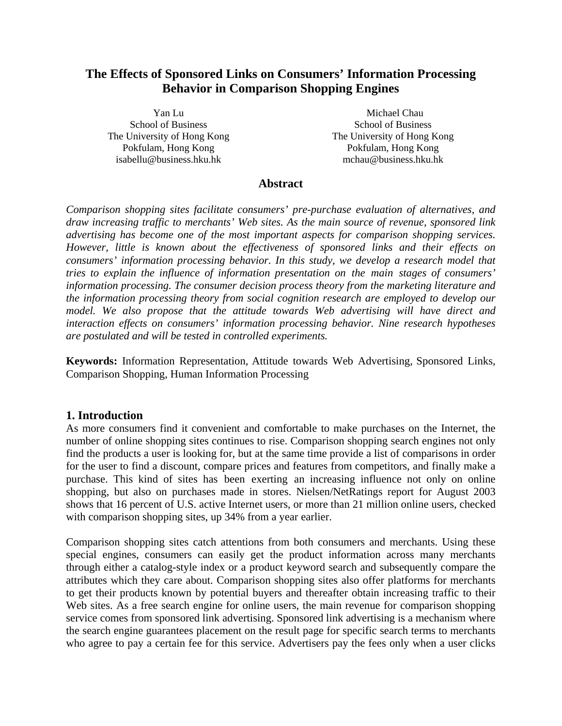# **The Effects of Sponsored Links on Consumers' Information Processing Behavior in Comparison Shopping Engines**

Yan Lu School of Business The University of Hong Kong Pokfulam, Hong Kong isabellu@business.hku.hk

 Michael Chau School of Business The University of Hong Kong Pokfulam, Hong Kong mchau@business.hku.hk

## **Abstract**

*Comparison shopping sites facilitate consumers' pre-purchase evaluation of alternatives, and draw increasing traffic to merchants' Web sites. As the main source of revenue, sponsored link advertising has become one of the most important aspects for comparison shopping services. However, little is known about the effectiveness of sponsored links and their effects on consumers' information processing behavior. In this study, we develop a research model that tries to explain the influence of information presentation on the main stages of consumers' information processing. The consumer decision process theory from the marketing literature and the information processing theory from social cognition research are employed to develop our model. We also propose that the attitude towards Web advertising will have direct and interaction effects on consumers' information processing behavior. Nine research hypotheses are postulated and will be tested in controlled experiments.* 

**Keywords:** Information Representation, Attitude towards Web Advertising, Sponsored Links, Comparison Shopping, Human Information Processing

# **1. Introduction**

As more consumers find it convenient and comfortable to make purchases on the Internet, the number of online shopping sites continues to rise. Comparison shopping search engines not only find the products a user is looking for, but at the same time provide a list of comparisons in order for the user to find a discount, compare prices and features from competitors, and finally make a purchase. This kind of sites has been exerting an increasing influence not only on online shopping, but also on purchases made in stores. Nielsen/NetRatings report for August 2003 shows that 16 percent of U.S. active Internet users, or more than 21 million online users, checked with comparison shopping sites, up 34% from a year earlier.

Comparison shopping sites catch attentions from both consumers and merchants. Using these special engines, consumers can easily get the product information across many merchants through either a catalog-style index or a product keyword search and subsequently compare the attributes which they care about. Comparison shopping sites also offer platforms for merchants to get their products known by potential buyers and thereafter obtain increasing traffic to their Web sites. As a free search engine for online users, the main revenue for comparison shopping service comes from sponsored link advertising. Sponsored link advertising is a mechanism where the search engine guarantees placement on the result page for specific search terms to merchants who agree to pay a certain fee for this service. Advertisers pay the fees only when a user clicks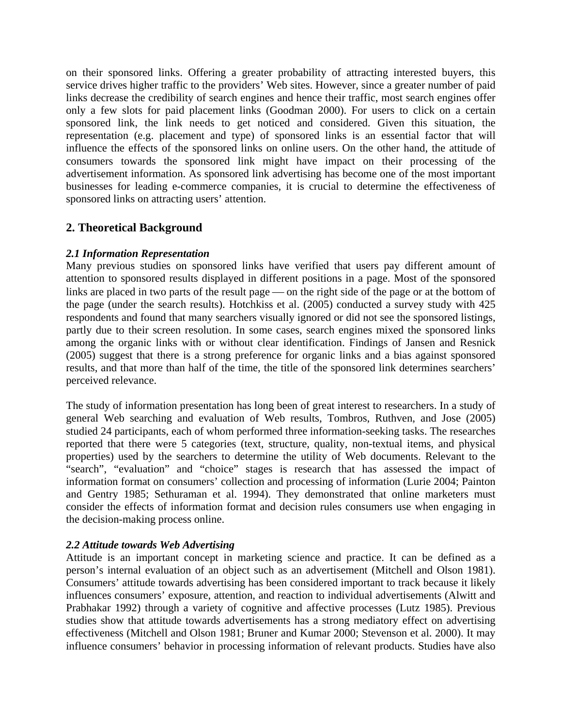on their sponsored links. Offering a greater probability of attracting interested buyers, this service drives higher traffic to the providers' Web sites. However, since a greater number of paid links decrease the credibility of search engines and hence their traffic, most search engines offer only a few slots for paid placement links (Goodman 2000). For users to click on a certain sponsored link, the link needs to get noticed and considered. Given this situation, the representation (e.g. placement and type) of sponsored links is an essential factor that will influence the effects of the sponsored links on online users. On the other hand, the attitude of consumers towards the sponsored link might have impact on their processing of the advertisement information. As sponsored link advertising has become one of the most important businesses for leading e-commerce companies, it is crucial to determine the effectiveness of sponsored links on attracting users' attention.

# **2. Theoretical Background**

# *2.1 Information Representation*

Many previous studies on sponsored links have verified that users pay different amount of attention to sponsored results displayed in different positions in a page. Most of the sponsored links are placed in two parts of the result page  $\sim$  on the right side of the page or at the bottom of the page (under the search results). Hotchkiss et al. (2005) conducted a survey study with 425 respondents and found that many searchers visually ignored or did not see the sponsored listings, partly due to their screen resolution. In some cases, search engines mixed the sponsored links among the organic links with or without clear identification. Findings of Jansen and Resnick (2005) suggest that there is a strong preference for organic links and a bias against sponsored results, and that more than half of the time, the title of the sponsored link determines searchers' perceived relevance.

The study of information presentation has long been of great interest to researchers. In a study of general Web searching and evaluation of Web results, Tombros, Ruthven, and Jose (2005) studied 24 participants, each of whom performed three information-seeking tasks. The researches reported that there were 5 categories (text, structure, quality, non-textual items, and physical properties) used by the searchers to determine the utility of Web documents. Relevant to the "search", "evaluation" and "choice" stages is research that has assessed the impact of information format on consumers' collection and processing of information (Lurie 2004; Painton and Gentry 1985; Sethuraman et al. 1994). They demonstrated that online marketers must consider the effects of information format and decision rules consumers use when engaging in the decision-making process online.

## *2.2 Attitude towards Web Advertising*

Attitude is an important concept in marketing science and practice. It can be defined as a person's internal evaluation of an object such as an advertisement (Mitchell and Olson 1981). Consumers' attitude towards advertising has been considered important to track because it likely influences consumers' exposure, attention, and reaction to individual advertisements (Alwitt and Prabhakar 1992) through a variety of cognitive and affective processes (Lutz 1985). Previous studies show that attitude towards advertisements has a strong mediatory effect on advertising effectiveness (Mitchell and Olson 1981; Bruner and Kumar 2000; Stevenson et al. 2000). It may influence consumers' behavior in processing information of relevant products. Studies have also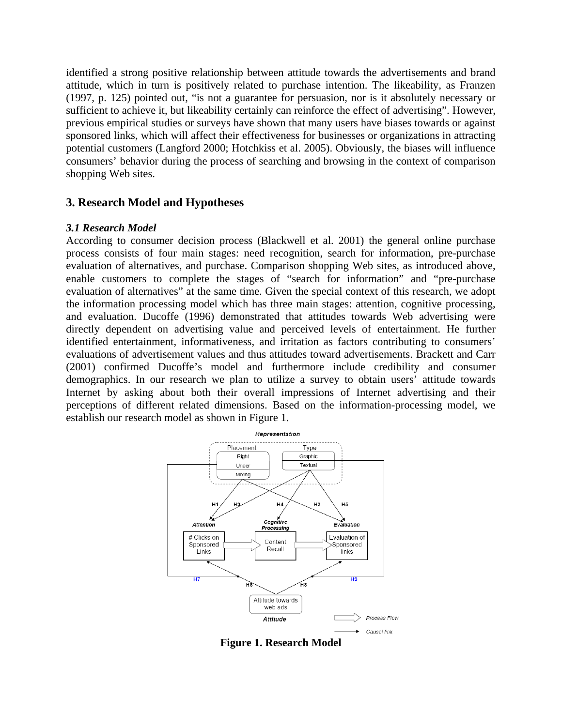identified a strong positive relationship between attitude towards the advertisements and brand attitude, which in turn is positively related to purchase intention. The likeability, as Franzen (1997, p. 125) pointed out, "is not a guarantee for persuasion, nor is it absolutely necessary or sufficient to achieve it, but likeability certainly can reinforce the effect of advertising". However, previous empirical studies or surveys have shown that many users have biases towards or against sponsored links, which will affect their effectiveness for businesses or organizations in attracting potential customers (Langford 2000; Hotchkiss et al. 2005). Obviously, the biases will influence consumers' behavior during the process of searching and browsing in the context of comparison shopping Web sites.

# **3. Research Model and Hypotheses**

#### *3.1 Research Model*

According to consumer decision process (Blackwell et al. 2001) the general online purchase process consists of four main stages: need recognition, search for information, pre-purchase evaluation of alternatives, and purchase. Comparison shopping Web sites, as introduced above, enable customers to complete the stages of "search for information" and "pre-purchase evaluation of alternatives" at the same time. Given the special context of this research, we adopt the information processing model which has three main stages: attention, cognitive processing, and evaluation. Ducoffe (1996) demonstrated that attitudes towards Web advertising were directly dependent on advertising value and perceived levels of entertainment. He further identified entertainment, informativeness, and irritation as factors contributing to consumers' evaluations of advertisement values and thus attitudes toward advertisements. Brackett and Carr (2001) confirmed Ducoffe's model and furthermore include credibility and consumer demographics. In our research we plan to utilize a survey to obtain users' attitude towards Internet by asking about both their overall impressions of Internet advertising and their perceptions of different related dimensions. Based on the information-processing model, we establish our research model as shown in Figure 1.



**Figure 1. Research Model**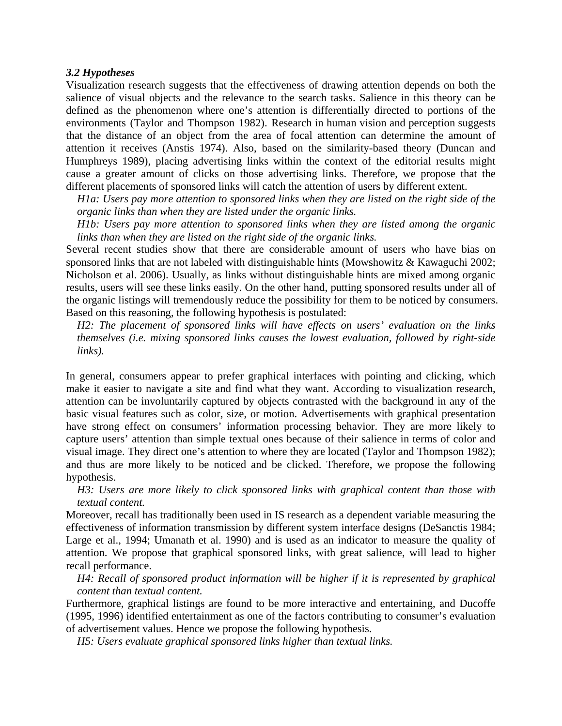#### *3.2 Hypotheses*

Visualization research suggests that the effectiveness of drawing attention depends on both the salience of visual objects and the relevance to the search tasks. Salience in this theory can be defined as the phenomenon where one's attention is differentially directed to portions of the environments (Taylor and Thompson 1982). Research in human vision and perception suggests that the distance of an object from the area of focal attention can determine the amount of attention it receives (Anstis 1974). Also, based on the similarity-based theory (Duncan and Humphreys 1989), placing advertising links within the context of the editorial results might cause a greater amount of clicks on those advertising links. Therefore, we propose that the different placements of sponsored links will catch the attention of users by different extent.

*H1a: Users pay more attention to sponsored links when they are listed on the right side of the organic links than when they are listed under the organic links.* 

*H1b: Users pay more attention to sponsored links when they are listed among the organic links than when they are listed on the right side of the organic links.* 

Several recent studies show that there are considerable amount of users who have bias on sponsored links that are not labeled with distinguishable hints (Mowshowitz & Kawaguchi 2002; Nicholson et al. 2006). Usually, as links without distinguishable hints are mixed among organic results, users will see these links easily. On the other hand, putting sponsored results under all of the organic listings will tremendously reduce the possibility for them to be noticed by consumers. Based on this reasoning, the following hypothesis is postulated:

*H2: The placement of sponsored links will have effects on users' evaluation on the links themselves (i.e. mixing sponsored links causes the lowest evaluation, followed by right-side links).* 

In general, consumers appear to prefer graphical interfaces with pointing and clicking, which make it easier to navigate a site and find what they want. According to visualization research, attention can be involuntarily captured by objects contrasted with the background in any of the basic visual features such as color, size, or motion. Advertisements with graphical presentation have strong effect on consumers' information processing behavior. They are more likely to capture users' attention than simple textual ones because of their salience in terms of color and visual image. They direct one's attention to where they are located (Taylor and Thompson 1982); and thus are more likely to be noticed and be clicked. Therefore, we propose the following hypothesis.

*H3: Users are more likely to click sponsored links with graphical content than those with textual content.* 

Moreover, recall has traditionally been used in IS research as a dependent variable measuring the effectiveness of information transmission by different system interface designs (DeSanctis 1984; Large et al., 1994; Umanath et al. 1990) and is used as an indicator to measure the quality of attention. We propose that graphical sponsored links, with great salience, will lead to higher recall performance.

*H4: Recall of sponsored product information will be higher if it is represented by graphical content than textual content.* 

Furthermore, graphical listings are found to be more interactive and entertaining, and Ducoffe (1995, 1996) identified entertainment as one of the factors contributing to consumer's evaluation of advertisement values. Hence we propose the following hypothesis.

*H5: Users evaluate graphical sponsored links higher than textual links.*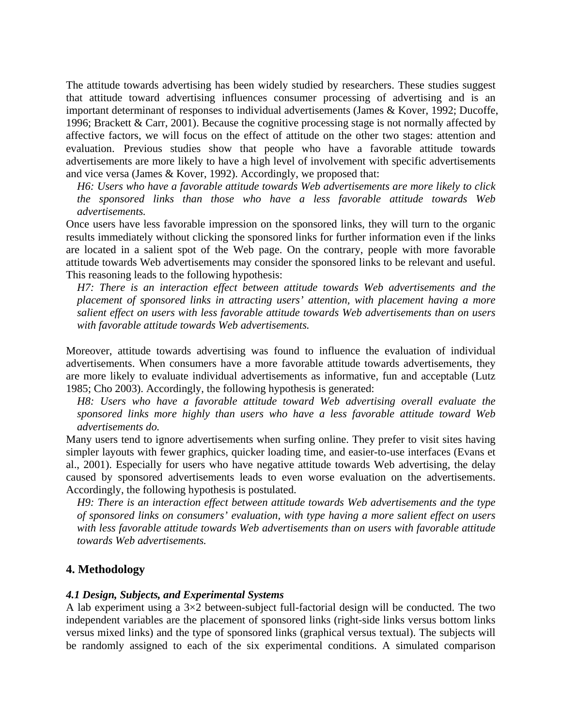The attitude towards advertising has been widely studied by researchers. These studies suggest that attitude toward advertising influences consumer processing of advertising and is an important determinant of responses to individual advertisements (James & Kover, 1992; Ducoffe, 1996; Brackett & Carr, 2001). Because the cognitive processing stage is not normally affected by affective factors, we will focus on the effect of attitude on the other two stages: attention and evaluation. Previous studies show that people who have a favorable attitude towards advertisements are more likely to have a high level of involvement with specific advertisements and vice versa (James & Kover, 1992). Accordingly, we proposed that:

*H6: Users who have a favorable attitude towards Web advertisements are more likely to click the sponsored links than those who have a less favorable attitude towards Web advertisements.* 

Once users have less favorable impression on the sponsored links, they will turn to the organic results immediately without clicking the sponsored links for further information even if the links are located in a salient spot of the Web page. On the contrary, people with more favorable attitude towards Web advertisements may consider the sponsored links to be relevant and useful. This reasoning leads to the following hypothesis:

*H7: There is an interaction effect between attitude towards Web advertisements and the placement of sponsored links in attracting users' attention, with placement having a more salient effect on users with less favorable attitude towards Web advertisements than on users with favorable attitude towards Web advertisements.* 

Moreover, attitude towards advertising was found to influence the evaluation of individual advertisements. When consumers have a more favorable attitude towards advertisements, they are more likely to evaluate individual advertisements as informative, fun and acceptable (Lutz 1985; Cho 2003). Accordingly, the following hypothesis is generated:

*H8: Users who have a favorable attitude toward Web advertising overall evaluate the sponsored links more highly than users who have a less favorable attitude toward Web advertisements do.* 

Many users tend to ignore advertisements when surfing online. They prefer to visit sites having simpler layouts with fewer graphics, quicker loading time, and easier-to-use interfaces (Evans et al., 2001). Especially for users who have negative attitude towards Web advertising, the delay caused by sponsored advertisements leads to even worse evaluation on the advertisements. Accordingly, the following hypothesis is postulated.

*H9: There is an interaction effect between attitude towards Web advertisements and the type of sponsored links on consumers' evaluation, with type having a more salient effect on users with less favorable attitude towards Web advertisements than on users with favorable attitude towards Web advertisements.*

## **4. Methodology**

## *4.1 Design, Subjects, and Experimental Systems*

A lab experiment using a 3×2 between-subject full-factorial design will be conducted. The two independent variables are the placement of sponsored links (right-side links versus bottom links versus mixed links) and the type of sponsored links (graphical versus textual). The subjects will be randomly assigned to each of the six experimental conditions. A simulated comparison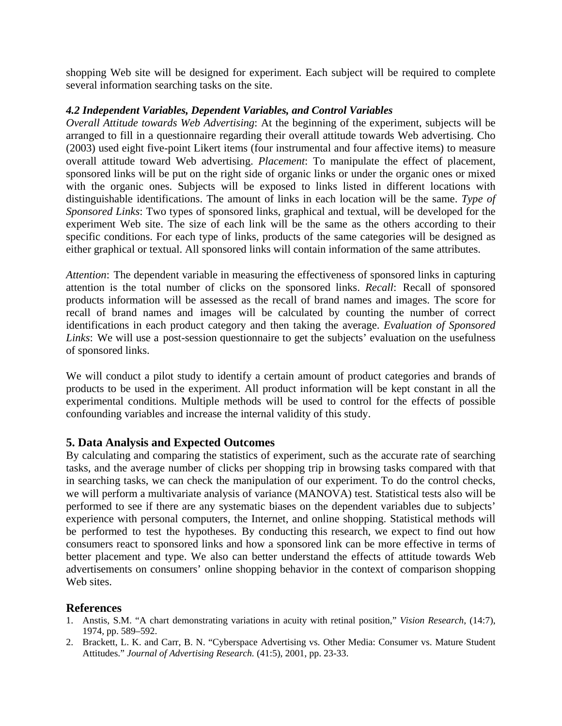shopping Web site will be designed for experiment. Each subject will be required to complete several information searching tasks on the site.

### *4.2 Independent Variables, Dependent Variables, and Control Variables*

*Overall Attitude towards Web Advertising*: At the beginning of the experiment, subjects will be arranged to fill in a questionnaire regarding their overall attitude towards Web advertising. Cho (2003) used eight five-point Likert items (four instrumental and four affective items) to measure overall attitude toward Web advertising. *Placement*: To manipulate the effect of placement, sponsored links will be put on the right side of organic links or under the organic ones or mixed with the organic ones. Subjects will be exposed to links listed in different locations with distinguishable identifications. The amount of links in each location will be the same. *Type of Sponsored Links*: Two types of sponsored links, graphical and textual, will be developed for the experiment Web site. The size of each link will be the same as the others according to their specific conditions. For each type of links, products of the same categories will be designed as either graphical or textual. All sponsored links will contain information of the same attributes.

*Attention*: The dependent variable in measuring the effectiveness of sponsored links in capturing attention is the total number of clicks on the sponsored links. *Recall*: Recall of sponsored products information will be assessed as the recall of brand names and images. The score for recall of brand names and images will be calculated by counting the number of correct identifications in each product category and then taking the average. *Evaluation of Sponsored Links*: We will use a post-session questionnaire to get the subjects' evaluation on the usefulness of sponsored links.

We will conduct a pilot study to identify a certain amount of product categories and brands of products to be used in the experiment. All product information will be kept constant in all the experimental conditions. Multiple methods will be used to control for the effects of possible confounding variables and increase the internal validity of this study.

# **5. Data Analysis and Expected Outcomes**

By calculating and comparing the statistics of experiment, such as the accurate rate of searching tasks, and the average number of clicks per shopping trip in browsing tasks compared with that in searching tasks, we can check the manipulation of our experiment. To do the control checks, we will perform a multivariate analysis of variance (MANOVA) test. Statistical tests also will be performed to see if there are any systematic biases on the dependent variables due to subjects' experience with personal computers, the Internet, and online shopping. Statistical methods will be performed to test the hypotheses. By conducting this research, we expect to find out how consumers react to sponsored links and how a sponsored link can be more effective in terms of better placement and type. We also can better understand the effects of attitude towards Web advertisements on consumers' online shopping behavior in the context of comparison shopping Web sites.

## **References**

- 1. Anstis, S.M. "A chart demonstrating variations in acuity with retinal position," *Vision Research*, (14:7), 1974, pp. 589–592.
- 2. Brackett, L. K. and Carr, B. N. "Cyberspace Advertising vs. Other Media: Consumer vs. Mature Student Attitudes." *Journal of Advertising Research.* (41:5), 2001, pp. 23-33.